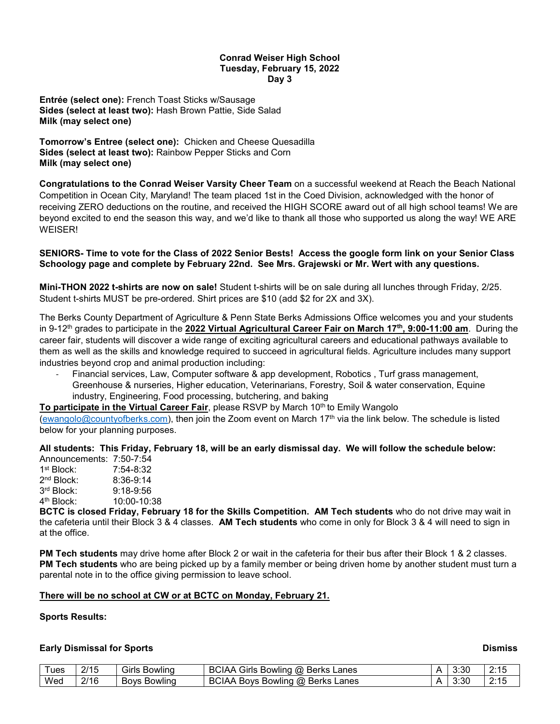#### **Conrad Weiser High School Tuesday, February 15, 2022 Day 3**

**Entrée (select one):** French Toast Sticks w/Sausage **Sides (select at least two):** Hash Brown Pattie, Side Salad **Milk (may select one)**

**Tomorrow's Entree (select one):** Chicken and Cheese Quesadilla **Sides (select at least two):** Rainbow Pepper Sticks and Corn **Milk (may select one)**

**Congratulations to the Conrad Weiser Varsity Cheer Team** on a successful weekend at Reach the Beach National Competition in Ocean City, Maryland! The team placed 1st in the Coed Division, acknowledged with the honor of receiving ZERO deductions on the routine, and received the HIGH SCORE award out of all high school teams! We are beyond excited to end the season this way, and we'd like to thank all those who supported us along the way! WE ARE **WEISER!** 

## **SENIORS- Time to vote for the Class of 2022 Senior Bests! Access the google form link on your Senior Class Schoology page and complete by February 22nd. See Mrs. Grajewski or Mr. Wert with any questions.**

**Mini-THON 2022 t-shirts are now on sale!** Student t-shirts will be on sale during all lunches through Friday, 2/25. Student t-shirts MUST be pre-ordered. Shirt prices are \$10 (add \$2 for 2X and 3X).

The Berks County Department of Agriculture & Penn State Berks Admissions Office welcomes you and your students in 9-12<sup>th</sup> grades to participate in the **2022 Virtual Agricultural Career Fair on March 17<sup>th</sup>, 9:00-11:00 am.** During the career fair, students will discover a wide range of exciting agricultural careers and educational pathways available to them as well as the skills and knowledge required to succeed in agricultural fields. Agriculture includes many support industries beyond crop and animal production including:

- Financial services, Law, Computer software & app development, Robotics , Turf grass management, Greenhouse & nurseries, Higher education, Veterinarians, Forestry, Soil & water conservation, Equine industry, Engineering, Food processing, butchering, and baking

**To participate in the Virtual Career Fair**, please RSVP by March 10<sup>th</sup> to Emily Wangolo

[\(ewangolo@countyofberks.com\)](mailto:ewangolo@countyofberks.com), then join the Zoom event on March 17th via the link below. The schedule is listed below for your planning purposes.

**All students: This Friday, February 18, will be an early dismissal day. We will follow the schedule below:** Announcements: 7:50-7:54

| .                      |             |
|------------------------|-------------|
| 1 <sup>st</sup> Block: | 7:54-8:32   |
| 2 <sup>nd</sup> Block: | $8:36-9:14$ |
| 3rd Block:             | $9:18-9:56$ |
| 4 <sup>th</sup> Block: | 10:00-10:38 |
|                        |             |

**BCTC is closed Friday, February 18 for the Skills Competition. AM Tech students** who do not drive may wait in the cafeteria until their Block 3 & 4 classes. **AM Tech students** who come in only for Block 3 & 4 will need to sign in at the office.

**PM Tech students** may drive home after Block 2 or wait in the cafeteria for their bus after their Block 1 & 2 classes. **PM Tech students** who are being picked up by a family member or being driven home by another student must turn a parental note in to the office giving permission to leave school.

#### **There will be no school at CW or at BCTC on Monday, February 21.**

#### **Sports Results:**

## **Early Dismissal for Sports Dismissal for Sports Dismiss**

| l ues | 2/15 | -<br>' Siris<br><b>Bowling</b> | <b>BCIAA</b><br>Girls<br><b>Berks</b><br>ω<br>Lanes<br>Bowling       | 3:30 | $\mathbf{A}$<br>1 V          |
|-------|------|--------------------------------|----------------------------------------------------------------------|------|------------------------------|
| Wed   | 2/16 | <b>BOVS</b><br><b>Bowling</b>  | <b>BCIAA</b><br>$\alpha$<br>Berks<br>Lanes<br><b>BOVS</b><br>Bowlind | 3:30 | $\Omega \cdot 4$<br><u>.</u> |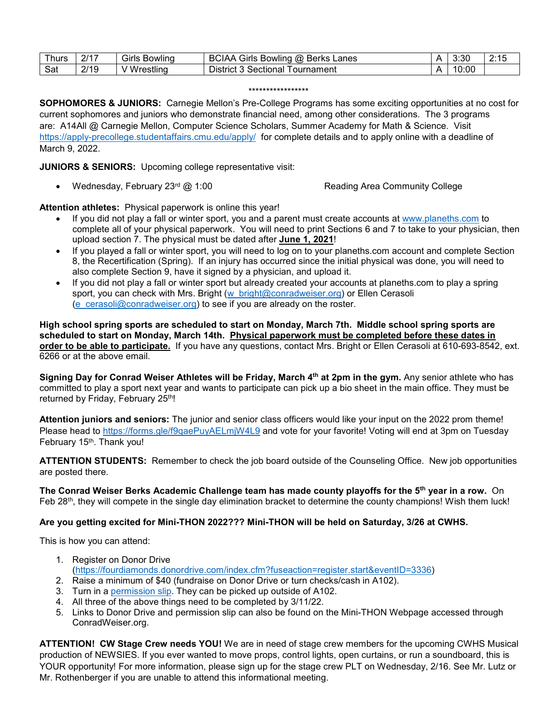| hurs | 2117 | $\sim$<br>Girls<br><b>Bowling</b> | Berks<br>JIAA<br>⊺irls آف<br>Lanes<br>$\omega$<br>Bowling<br>ВC |   | 3:30  | 0.4E |
|------|------|-----------------------------------|-----------------------------------------------------------------|---|-------|------|
| Sat  | 2/19 | ۱M<br>/restlind                   | ---<br>Sectional<br>District∵<br>! ournament                    | ⋀ | 10:00 |      |

#### \*\*\*\*\*\*\*\*\*\*\*\*\*\*\*\*\*

**SOPHOMORES & JUNIORS:** Carnegie Mellon's Pre-College Programs has some exciting opportunities at no cost for current sophomores and juniors who demonstrate financial need, among other considerations. The 3 programs are: A14All @ Carnegie Mellon, Computer Science Scholars, Summer Academy for Math & Science. Visit <https://apply-precollege.studentaffairs.cmu.edu/apply/> for complete details and to apply online with a deadline of March 9, 2022.

**JUNIORS & SENIORS:** Upcoming college representative visit:

• Wednesday, February 23<sup>rd</sup> @ 1:00 Reading Area Community College

**Attention athletes:** Physical paperwork is online this year!

- If you did not play a fall or winter sport, you and a parent must create accounts at [www.planeths.com](http://www.planeths.com/) to complete all of your physical paperwork. You will need to print Sections 6 and 7 to take to your physician, then upload section 7. The physical must be dated after **June 1, 2021**!
- If you played a fall or winter sport, you will need to log on to your planeths.com account and complete Section 8, the Recertification (Spring). If an injury has occurred since the initial physical was done, you will need to also complete Section 9, have it signed by a physician, and upload it.
- If you did not play a fall or winter sport but already created your accounts at planeths.com to play a spring sport, you can check with Mrs. Bright [\(w\\_bright@conradweiser.org\)](mailto:w_bright@conradweiser.org) or Ellen Cerasoli [\(e\\_cerasoli@conradweiser.org\)](mailto:e_cerasoli@conradweiser.org) to see if you are already on the roster.

**High school spring sports are scheduled to start on Monday, March 7th. Middle school spring sports are scheduled to start on Monday, March 14th. Physical paperwork must be completed before these dates in order to be able to participate.** If you have any questions, contact Mrs. Bright or Ellen Cerasoli at 610-693-8542, ext. 6266 or at the above email.

**Signing Day for Conrad Weiser Athletes will be Friday, March 4th at 2pm in the gym.** Any senior athlete who has committed to play a sport next year and wants to participate can pick up a bio sheet in the main office. They must be returned by Friday, February 25<sup>th</sup>!

**Attention juniors and seniors:** The junior and senior class officers would like your input on the 2022 prom theme! Please head to<https://forms.gle/f9qaePuyAELmjW4L9> and vote for your favorite! Voting will end at 3pm on Tuesday February 15<sup>th</sup>. Thank you!

**ATTENTION STUDENTS:** Remember to check the job board outside of the Counseling Office. New job opportunities are posted there.

**The Conrad Weiser Berks Academic Challenge team has made county playoffs for the 5th year in a row.** On Feb 28th, they will compete in the single day elimination bracket to determine the county champions! Wish them luck!

# **Are you getting excited for Mini-THON 2022??? Mini-THON will be held on Saturday, 3/26 at CWHS.**

This is how you can attend:

- 1. Register on Donor Drive [\(https://fourdiamonds.donordrive.com/index.cfm?fuseaction=register.start&eventID=3336\)](https://fourdiamonds.donordrive.com/index.cfm?fuseaction=register.start&eventID=3336)
- 2. Raise a minimum of \$40 (fundraise on Donor Drive or turn checks/cash in A102).
- 3. Turn in a [permission slip.](https://drive.google.com/file/d/1xHzgIrq8-Xxa2nXN90S35JE_sgF5yyXR/view?usp=sharing) They can be picked up outside of A102.
- 4. All three of the above things need to be completed by 3/11/22.
- 5. Links to Donor Drive and permission slip can also be found on the Mini-THON Webpage accessed through ConradWeiser.org.

**ATTENTION! CW Stage Crew needs YOU!** We are in need of stage crew members for the upcoming CWHS Musical production of NEWSIES. If you ever wanted to move props, control lights, open curtains, or run a soundboard, this is YOUR opportunity! For more information, please sign up for the stage crew PLT on Wednesday, 2/16. See Mr. Lutz or Mr. Rothenberger if you are unable to attend this informational meeting.